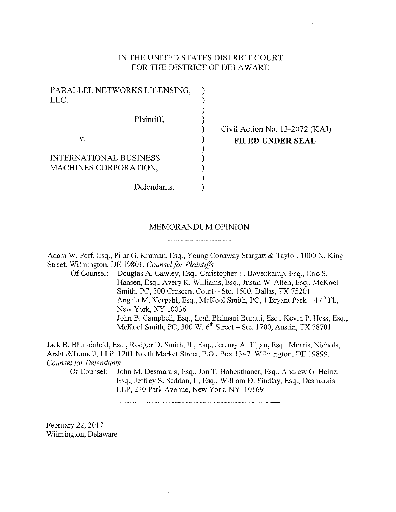## IN THE UNITED STATES DISTRICT COURT FOR THE DISTRICT OF DELAWARE

| PARALLEL NETWORKS LICENSING,  |  |
|-------------------------------|--|
| LLC,                          |  |
|                               |  |
| Plaintiff.                    |  |
|                               |  |
| V.                            |  |
|                               |  |
| <b>INTERNATIONAL BUSINESS</b> |  |
| MACHINES CORPORATION,         |  |
|                               |  |
| Defendants.                   |  |

# Civil Action No. 13-2072 (KAJ) **FILED UNDER SEAL**

#### MEMORANDUM OPINION

Adam W. Poff, Esq., Pilar G. Kraman, Esq., Young Conaway Stargatt & Taylor, 1000 N. King Street, Wilmington, DE 19801, *Counsel for Plaintiffs* 

Of Counsel: Douglas A. Cawley, Esq., Christopher T. Bovenkamp, Esq., Eric S. Hansen, Esq., Avery R. Williams, Esq., Justin W. Allen, Esq., McKool Smith, PC, 300 Crescent Court- Ste, 1500, Dallas, TX 75201 Angela M. Vorpahl, Esq., McKool Smith, PC, 1 Bryant Park – 47<sup>th</sup> Fl., New York, NY 10036 John B. Campbell, Esq., Leah Bhimani Buratti, Esq., Kevin P. Hess, Esq., McKool Smith, PC, 300 W. 6<sup>th</sup> Street – Ste. 1700, Austin, TX 78701

Jack B. Blumenfeld, Esq., Rodger D. Smith, II., Esq., Jeremy A. Tigan, Esq., Morris, Nichols, Arsht &Tunnell, LLP, 1201 North Market Street, P.O.. Box 1347, Wilmington, DE 19899, *Counsel for Defendants* 

Of Counsel: John M. Desmarais, Esq., Jon T. Hohenthaner, Esq., Andrew G. Heinz, Esq., JeffreyS. Seddon, II, Esq., William D. Findlay, Esq., Desmarais LLP, 230 Park Avenue, New York, NY 10169

February 22, 2017 Wilmington, Delaware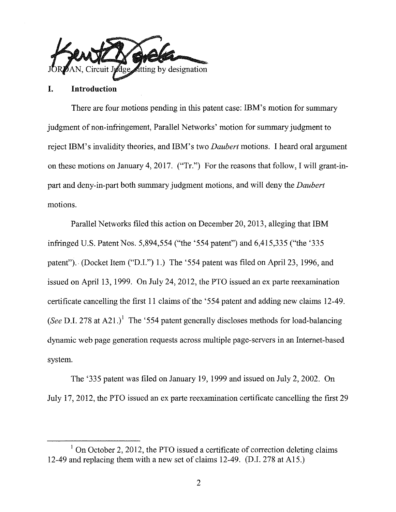

### **I. Introduction**

There are four motions pending in this patent case: IBM's motion for summary judgment of non-infringement, Parallel Networks' motion for summary judgment to reject IBM's invalidity theories, and IBM's two *Daubert* motions. I heard oral argument on these motions on January 4, 2017. ("Tr.") For the reasons that follow, I will grant-inpart and deny-in-part both summary judgment motions, and will deny the *Daubert*  motions.

Parallel Networks filed this action on December 20, 2013, alleging that IBM infringed U.S. Patent Nos. 5,894,554 ("the '554 patent") and 6,415,335 ("the '335 patent"). (Docket Item ("D.I.") 1.) The '554 patent was filed on April 23, 1996, and issued on April 13, 1999. On July 24, 2012, the PTO issued an ex parte reexamination certificate cancelling the first II claims of the '554 patent and adding new claims 12-49. *(See D.I. 278 at A21.)*<sup>1</sup> The '554 patent generally discloses methods for load-balancing dynamic web page generation requests across multiple page-servers in an Internet-based system.

The '335 patent was filed on January 19, 1999 and issued on July 2, 2002. On July 17, 2012, the PTO issued an ex parte reexamination certificate cancelling the first 29

 $1$  On October 2, 2012, the PTO issued a certificate of correction deleting claims 12-49 and replacing them with a new set of claims 12-49. (D.I. 278 at Al5.)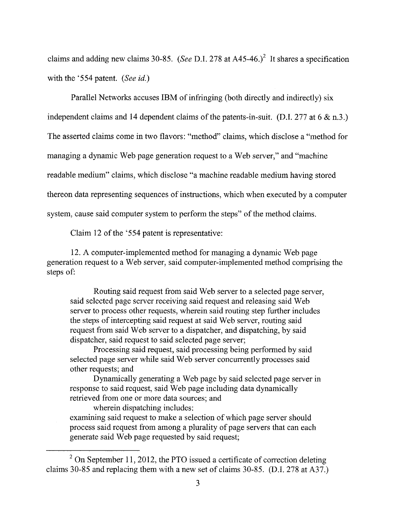claims and adding new claims 30-85. *(See D.I. 278 at A45-46.)*<sup>2</sup> It shares a specification with the '554 patent. *(See id.)* 

Parallel Networks accuses IBM of infringing (both directly and indirectly) six independent claims and 14 dependent claims of the patents-in-suit. (D.I. 277 at 6 & n.3.) The asserted claims come in two flavors: "method" claims, which disclose a "method for managing a dynamic Web page generation request to a Web server," and "machine readable medium" claims, which disclose "a machine readable medium having stored thereon data representing sequences of instructions, which when executed by a computer system, cause said computer system to perform the steps" of the method claims.

Claim 12 of the '554 patent is representative:

12. A computer-implemented method for managing a dynamic Web page generation request to a Web server, said computer-implemented method comprising the steps of:

Routing said request from said Web server to a selected page server, said selected page server receiving said request and releasing said Web server to process other requests, wherein said routing step further includes the steps of intercepting said request at said Web server, routing said request from said Web server to a dispatcher, and dispatching, by said dispatcher, said request to said selected page server;

Processing said request, said processing being performed by said selected page server while said Web server concurrently processes said other requests; and

Dynamically generating a Web page by said selected page server in response to said request, said Web page including data dynamically retrieved from one or more data sources; and

wherein dispatching includes: examining said request to make a selection of which page server should process said request from among a plurality of page servers that can each generate said Web page requested by said request;

 $2$  On September 11, 2012, the PTO issued a certificate of correction deleting claims 30-85 and replacing them with a new set of claims 30-85. (D.I. 278 at A37.)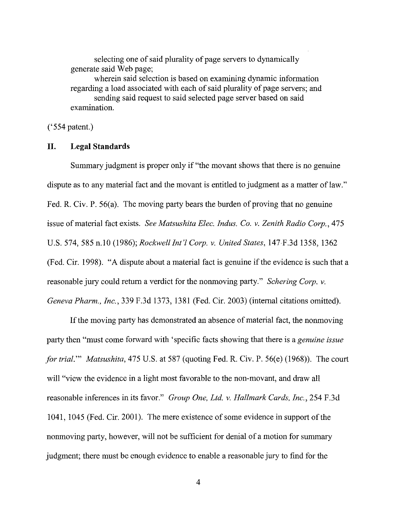selecting one of said plurality of page servers to dynamically generate said Web page;

wherein said selection is based on examining dynamic information regarding a load associated with each of said plurality of page servers; and sending said request to said selected page server based on said examination.

 $('554 patent.)$ 

### **II. Legal Standards**

Summary judgment is proper only if "the movant shows that there is no genuine dispute as to any material fact and the movant is entitled to judgment as a matter of law." Fed. R. Civ. P. 56(a). The moving party bears the burden of proving that no genuine issue of material fact exists. *See Matsushita Elec. Indus. Co. v. Zenith Radio Corp.,* 475 U.S. 574, 585 n.IO (1986); *Rockwell Int'l Corp. v. United States,* 147 F.3d 1358, 1362 (Fed. Cir. 1998). "A dispute about a material fact is genuine if the evidence is such that a reasonable jury could return a verdict for the nonmoving party." *Schering Corp. v. Geneva Pharm., Inc.,* 339 F.3d 1373, 1381 (Fed. Cir. 2003) (internal citations omitted).

If the moving party has demonstrated an absence of material fact, the nonmoving party then "must come forward with 'specific facts showing that there is a *genuine issue for trial."' Matsushita,* 475 U.S. at 587 (quoting Fed. R. Civ. P. 56(e) (1968)). The court will "view the evidence in a light most favorable to the non-movant, and draw all reasonable inferences in its favor." *Group One, Ltd. v. Hallmark Cards, Inc.,* 254 F.3d 1041, 1045 (Fed. Cir. 2001). The mere existence of some evidence in support of the nonmoving party, however, will not be sufficient for denial of a motion for summary judgment; there must be enough evidence to enable a reasonable jury to find for the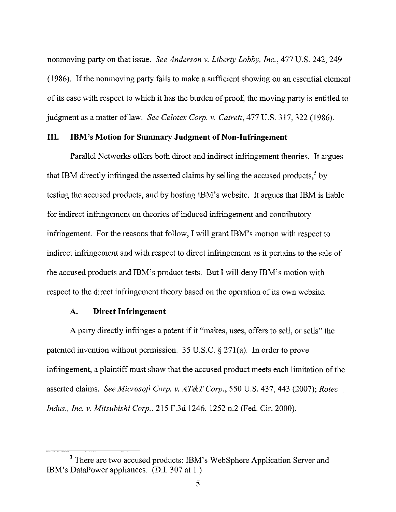nonmoving party on that issue. *See Anderson v. Liberty Lobby, Inc.,* 477 U.S. 242, 249 (1986). If the nonmoving party fails to make a sufficient showing on an essential element of its case with respect to which it has the burden of proof, the moving party is entitled to judgment as a matter of law. *See Celotex Corp. v. Catrett,* 477 U.S. 317,322 (1986).

## **III. IBM's Motion for Summary Judgment of Non-Infringement**

Parallel Networks offers both direct and indirect infringement theories. It argues that IBM directly infringed the asserted claims by selling the accused products,  $3 \text{ by }$ testing the accused products, and by hosting IBM's website. It argues that IBM is liable for indirect infringement on theories of induced infringement and contributory infringement. For the reasons that follow, I will grant IBM's motion with respect to indirect infringement and with respect to direct infringement as it pertains to the sale of the accused products and IBM's product tests. But I will deny IBM's motion with respect to the direct infringement theory based on the operation of its own website.

### **A. Direct Infringement**

A party directly infringes a patent if it "makes, uses, offers to sell, or sells" the patented invention without permission. 35 U.S.C. § 271(a). In order to prove infringement, a plaintiff must show that the accused product meets each limitation of the asserted claims. *See Microsoft Corp. v. AT&T Corp.,* 550 U.S. 437, 443 (2007); *Rotec Indus., Inc. v. Mitsubishi Corp.,* 215 F.3d 1246, 1252 n.2 (Fed. Cir. 2000).

<sup>&</sup>lt;sup>3</sup> There are two accused products: IBM's WebSphere Application Server and IBM's DataPower appliances. (D.I. 307 at 1.)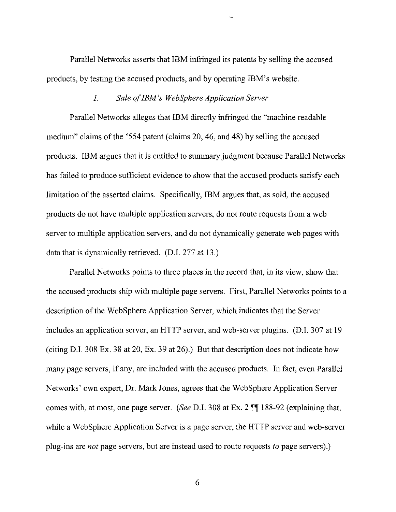Parallel Networks asserts that IBM infiinged its patents by selling the accused products, by testing the accused products, and by operating IBM's website.

#### *1. Sale of IBM's WebSphere Application Server*

Parallel Networks alleges that IBM directly infringed the "machine readable medium" claims of the '554 patent (claims 20, 46, and 48) by selling the accused products. IBM argues that it is entitled to summary judgment because Parallel Networks has failed to produce sufficient evidence to show that the accused products satisfy each limitation of the asserted claims. Specifically, IBM argues that, as sold, the accused products do not have multiple application servers, do not route requests from a web server to multiple application servers, and do not dynamically generate web pages with data that is dynamically retrieved. (D.I. 277 at 13.)

Parallel Networks points to three places in the record that, in its view, show that the accused products ship with multiple page servers. First, Parallel Networks points to a description of the WebSphere Application Server, which indicates that the Server includes an application server, an HTTP server, and web-server plugins. (D.I. 307 at 19 (citing D.I. 308 Ex. 38 at 20, Ex. 39 at 26).) But that description does not indicate how many page servers, if any, are included with the accused products. In fact, even Parallel Networks' own expert, Dr. Mark Jones, agrees that the WebSphere Application Server comes with, at most, one page server. *(See D.I.* 308 at Ex. 2  $\P$  188-92 (explaining that, while a Web Sphere Application Server is a page server, the HTTP server and web-server plug-ins are *not* page servers, but are instead used to route requests *to* page servers).)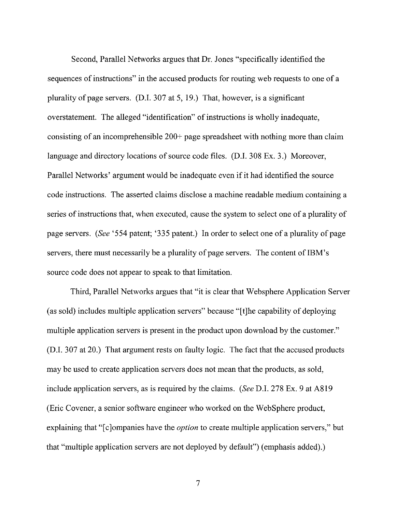Second, Parallel Networks argues that Dr. Jones "specifically identified the sequences of instructions" in the accused products for routing web requests to one of a plurality of page servers. (D.I. 307 at 5, 19.) That, however, is a significant overstatement. The alleged "identification" of instructions is wholly inadequate, consisting of an incomprehensible 200+ page spreadsheet with nothing more than claim language and directory locations of source code files. (D.I. 308 Ex. 3.) Moreover, Parallel Networks' argument would be inadequate even if it had identified the source code instructions. The asserted claims disclose a machine readable medium containing a series of instructions that, when executed, cause the system to select one of a plurality of page servers. *(See* '554 patent; '335 patent.) In order to select one of a plurality of page servers, there must necessarily be a plurality of page servers. The content of IBM's source code does not appear to speak to that limitation.

Third, Parallel Networks argues that "it is clear that Websphere Application Server (as sold) includes multiple application servers" because "[t]he capability of deploying multiple application servers is present in the product upon download by the customer." (D.I. 307 at 20.) That argument rests on faulty logic. The fact that the accused products may be used to create application servers does not mean that the products, as sold, include application servers, as is required by the claims. *(See* D.I. 278 Ex. 9 at A819 (Eric Covener, a senior software engineer who worked on the WebSphere product, explaining that "[c]ompanies have the *option* to create multiple application servers," but that "multiple application servers are not deployed by default") (emphasis added).)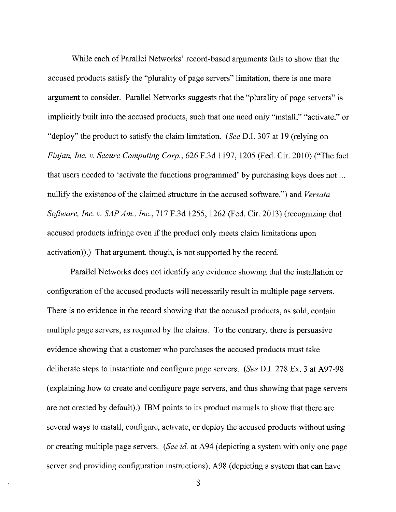While each of Parallel Networks' record-based arguments fails to show that the accused products satisfy the "plurality of page servers" limitation, there is one more argument to consider. Parallel Networks suggests that the "plurality of page servers" is implicitly built into the accused products, such that one need only "install," "activate," or "deploy" the product to satisfy the claim limitation. *(See* D.I. 307 at 19 (relying on *Finjan, Inc. v. Secure Computing Corp.,* 626 F.3d 1197, 1205 (Fed. Cir. 2010) ("The fact that users needed to 'activate the functions programmed' by purchasing keys does not ... nullify the existence of the claimed structure in the accused software.") and *Versata Software, Inc. v. SAP Am., Inc.,* 717 F.3d 1255, 1262 (Fed. Cir. 2013) (recognizing that accused products infringe even if the product only meets claim limitations upon activation)).) That argument, though, is not supported by the record.

Parallel Networks does not identify any evidence showing that the installation or configuration of the accused products will necessarily result in multiple page servers. There is no evidence in the record showing that the accused products, as sold, contain multiple page servers, as required by the claims. To the contrary, there is persuasive evidence showing that a customer who purchases the accused products must take deliberate steps to instantiate and configure page servers. *(See* D.I. 278 Ex. 3 at A97-98 (explaining how to create and configure page servers, and thus showing that page servers are not created by default).) IBM points to its product manuals to show that there are several ways to install, configure, activate, or deploy the accused products without using or creating multiple page servers. *(See id.* at A94 (depicting a system with only one page server and providing configuration instructions), A98 (depicting a system that can have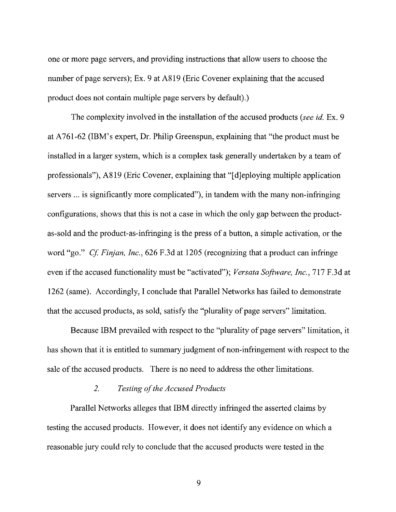one or more page servers, and providing instructions that allow users to choose the number of page servers); Ex. 9 at A819 (Eric Covener explaining that the accused product does not contain multiple page servers by default).)

The complexity involved in the installation of the accused products *(see* id. Ex. 9 at A 761-62 (IBM's expert, Dr. Philip Greenspun, explaining that "the product must be installed in a larger system, which is a complex task generally undertaken by a team of professionals"), A819 (Eric Covener, explaining that "[ d]eploying multiple application servers ... is significantly more complicated"), in tandem with the many non-infringing configurations, shows that this is not a case in which the only gap between the productas-sold and the product -as-infringing is the press of a button, a simple activation, or the word "go." *Cf Finjan, Inc.,* 626 F.3d at 1205 (recognizing that a product can infringe even if the accused functionality must be "activated"); *Versata Software, Inc.,* 717 F.3d at 1262 (same). Accordingly, I conclude that Parallel Networks has failed to demonstrate that the accused products, as sold, satisfy the "plurality of page servers" limitation.

Because IBM prevailed with respect to the "plurality of page servers" limitation, it has shown that it is entitled to summary judgment of non-infringement with respect to the sale of the accused products. There is no need to address the other limitations.

## *2. Testing of the Accused Products*

Parallel Networks alleges that IBM directly infringed the asserted claims by testing the accused products. However, it does not identify any evidence on which a reasonable jury could rely to conclude that the accused products were tested in the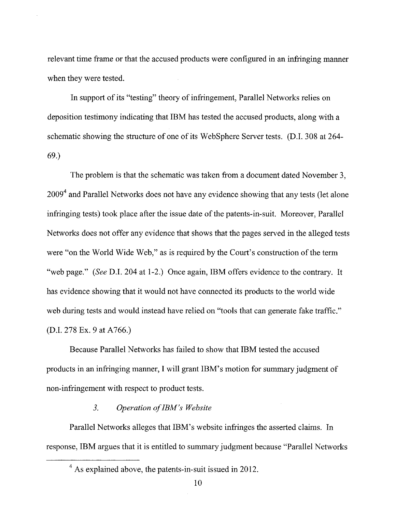relevant time frame or that the accused products were configured in an infringing manner when they were tested.

In support of its "testing" theory of infringement, Parallel Networks relies on deposition testimony indicating that IBM has tested the accused products, along with a schematic showing the structure of one of its Web Sphere Server tests. (D.I. 308 at 264- 69.)

The problem is that the schematic was taken from a document dated November 3,  $2009<sup>4</sup>$  and Parallel Networks does not have any evidence showing that any tests (let alone infringing tests) took place after the issue date of the patents-in-suit. Moreover, Parallel Networks does not offer any evidence that shows that the pages served in the alleged tests were "on the World Wide Web," as is required by the Court's construction of the term "web page." *(See* D.I. 204 at 1-2.) Once again, IBM offers evidence to the contrary. It has evidence showing that it would not have connected its products to the world wide web during tests and would instead have relied on "tools that can generate fake traffic." (D.I. 278 Ex. 9 at A766.)

Because Parallel Networks has failed to show that IBM tested the accused products in an infringing marmer, I will grant IBM's motion for summary judgment of non-infringement with respect to product tests.

## *3. Operation of IBM's Website*

Parallel Networks alleges that IBM's website infringes the asserted claims. In response, IBM argues that it is entitled to summary judgment because "Parallel Networks

<sup>&</sup>lt;sup>4</sup> As explained above, the patents-in-suit issued in 2012.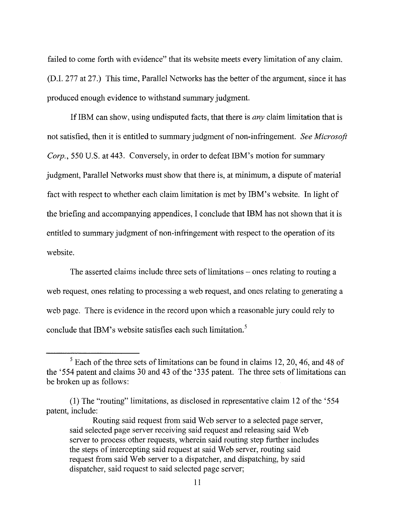failed to come forth with evidence" that its website meets every limitation of any claim. (D.I. 277 at 27.) This time, Parallel Networks has the better of the argument, since it has produced enough evidence to withstand summary judgment.

If IBM can show, using undisputed facts, that there is *any* claim limitation that is not satisfied, then it is entitled to summary judgment of non-infringement. *See Microsoft Corp.,* 550 U.S. at 443. Conversely, in order to defeat IBM's motion for summary judgment, Parallel Networks must show that there is, at minimum, a dispute of material fact with respect to whether each claim limitation is met by IBM's website. In light of the briefing and accompanying appendices, I conclude that IBM has not shown that it is entitled to summary judgment of non-infringement with respect to the operation of its website.

The asserted claims include three sets of limitations – ones relating to routing a web request, ones relating to processing a web request, and ones relating to generating a web page. There is evidence in the record upon which a reasonable jury could rely to conclude that IBM's website satisfies each such limitation.<sup>5</sup>

<sup>5</sup> Each of the three sets of limitations can be found in claims 12, 20, 46, and 48 of the '554 patent and claims 30 and 43 of the '335 patent. The three sets of limitations can be broken up as follows:

<sup>(1)</sup> The "routing" limitations, as disclosed in representative claim 12 of the '554 patent, include:

Routing said request from said Web server to a selected page server, said selected page server receiving said request and releasing said Web server to process other requests, wherein said routing step further includes the steps of intercepting said request at said Web server, routing said request from said Web server to a dispatcher, and dispatching, by said dispatcher, said request to said selected page server;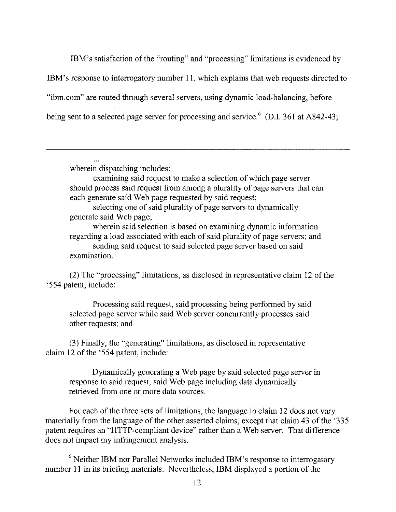IBM's satisfaction of the "routing" and "processing" limitations is evidenced by IBM's response to interrogatory number 11, which explains that web requests directed to "ibm. com" are routed through several servers, using dynamic load-balancing, before being sent to a selected page server for processing and service.<sup>6</sup> (D.I. 361 at A842-43;

wherein dispatching includes:

examining said request to make a selection of which page server should process said request from among a plurality of page servers that can each generate said Web page requested by said request;

selecting one of said plurality of page servers to dynamically generate said Web page;

wherein said selection is based on examining dynamic information regarding a load associated with each of said plurality of page servers; and sending said request to said selected page server based on said examination.

(2) The "processing" limitations, as disclosed in representative claim 12 of the '554 patent, include:

Processing said request, said processing being performed by said selected page server while said Web server concurrently processes said other requests; and

(3) Finally, the "generating" limitations, as disclosed in representative claim 12 of the '554 patent, include:

Dynamically generating a Web page by said selected page server in response to said request, said Web page including data dynamically retrieved from one or more data sources.

For each of the three sets of limitations, the language in claim 12 does not vary materially from the language of the other asserted claims, except that claim 43 of the '335 patent requires an "HTTP-compliant device" rather than a Web server. That difference does not impact my infringement analysis.

 $6$  Neither IBM nor Parallel Networks included IBM's response to interrogatory number 11 in its briefing materials. Nevertheless, IBM displayed a portion of the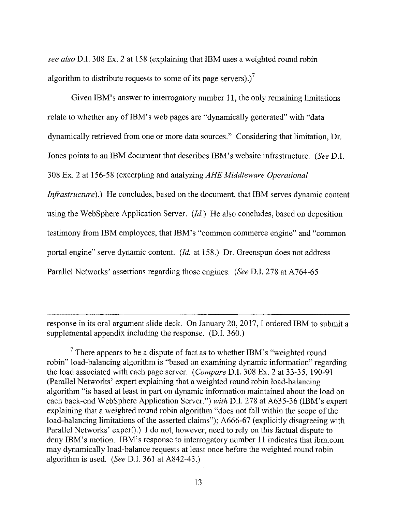*see also* D.I. 308 Ex. 2 at 158 (explaining that IBM uses a weighted round robin algorithm to distribute requests to some of its page servers).)<sup>7</sup>

Given IBM's answer to interrogatory number 11, the only remaining limitations relate to whether any of IBM's web pages are "dynamically generated" with "data dynamically retrieved from one or more data sources." Considering that limitation, Dr. Jones points to an IBM document that describes IBM's website infrastructure. *(See* D.I. 308 Ex. 2 at 156-58 (excerpting and analyzing *AHE Middleware Operational Infrastructure*).) He concludes, based on the document, that IBM serves dynamic content using the WebSphere Application Server. *(Id.)* He also concludes, based on deposition testimony from IBM employees, that IBM's "common commerce engine" and "common portal engine" serve dynamic content. *(Id.* at 158.) Dr. Greenspun does not address Parallel Networks' assertions regarding those engines. *(See* D.I. 278 at A764-65

response in its oral argument slide deck. On January 20, 2017, I ordered IBM to submit a supplemental appendix including the response. (D.I. 360.)

 $7$  There appears to be a dispute of fact as to whether IBM's "weighted round robin" load-balancing algorithm is "based on examining dynamic information" regarding the load associated with each page server. *(Compare* D.I. 308 Ex. 2 at 33-35, 190-91 (Parallel Networks' expert explaining that a weighted round robin load-balancing algorithm "is based at least in part on dynamic information maintained about the load on each back-end WebSphere Application Server.") *with* D.I. 278 at A635-36 (IBM's expert explaining that a weighted round robin algorithm "does not fall within the scope of the load-balancing limitations of the asserted claims"); A666-67 (explicitly disagreeing with Parallel Networks' expert).) I do not, however, need to rely on this factual dispute to deny IBM's motion. IBM's response to interrogatory number 11 indicates that ibm.com may dynamically load-balance requests at least once before the weighted round robin algorithm is used. (See D.I. 361 at  $A842-43$ .)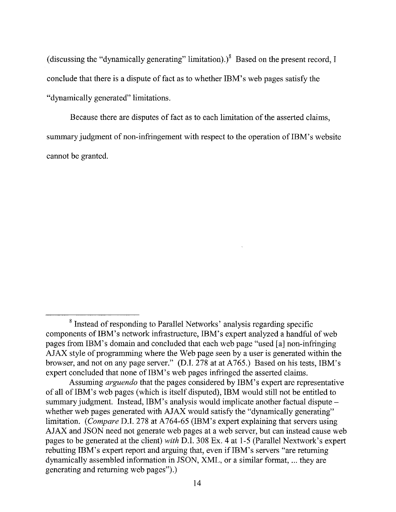(discussing the "dynamically generating" limitation).) $\delta$  Based on the present record, I conclude that there is a dispute of fact as to whether IBM's web pages satisfy the "dynamically generated" limitations.

Because there are disputes of fact as to each limitation of the asserted claims, summary judgment of non-infringement with respect to the operation of IBM's website cannot be granted.

<sup>8</sup> Instead of responding to Parallel Networks' analysis regarding specific components of IBM's network infrastructure, IBM's expert analyzed a handful of web pages from IBM's domain and concluded that each web page "used [a] non-infringing AJAX style of programming where the Web page seen by a user is generated within the browser, and not on any page server." (D.I. 278 at at A765.) Based on his tests, IBM's expert concluded that none of IBM's web pages infringed the asserted claims.

Assuming *arguendo* that the pages considered by IBM's expert are representative of all of IBM's web pages (which is itself disputed), IBM would still not be entitled to summary judgment. Instead, IBM's analysis would implicate another factual dispute – whether web pages generated with AJAX would satisfy the "dynamically generating" limitation. *(Compare D.I. 278 at A764-65 (IBM's expert explaining that servers using* AJAX and JSON need not generate web pages at a web server, but can instead cause web pages to be generated at the client) *with* D.I. 308 Ex. 4 at 1-5 (Parallel Nextwork's expert rebutting IBM's expert report and arguing that, even if IBM's servers "are returning dynamically assembled information in JSON, XML, or a similar format, ... they are generating and returning web pages").)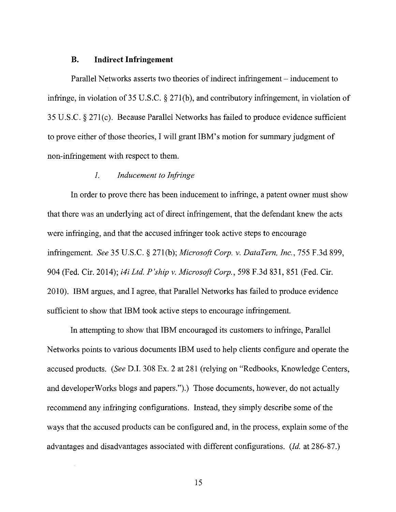#### **B. Indirect Infringement**

Parallel Networks asserts two theories of indirect infringement- inducement to infringe, in violation of 35 U.S.C.  $\S 271(b)$ , and contributory infringement, in violation of 35 U.S.C. § 27l(c). Because Parallel Networks has failed to produce evidence sufficient to prove either of those theories, I will grant IBM's motion for summary judgment of non-infringement with respect to them.

#### *1. Inducement to Infringe*

In order to prove there has been inducement to infringe, a patent owner must show that there was an underlying act of direct infringement, that the defendant knew the acts were infringing, and that the accused infringer took active steps to encourage infringement. *See* 35 U.S.C. § 271(b); *Microsoft Corp. v. DataTern, Inc.,* 755 F.3d 899, 904 (Fed. Cir. 2014); *i4i Ltd.* P *'ship v. Microsoft Corp.,* 598 F.3d 831, 851 (Fed. Cir. 2010). IBM argues, and I agree, that Parallel Networks has failed to produce evidence sufficient to show that IBM took active steps to encourage infringement.

In attempting to show that IBM encouraged its customers to infringe, Parallel Networks points to various documents IBM used to help clients configure and operate the accused products. *(See* D.I. 308 Ex. 2 at 281 (relying on "Redbooks, Knowledge Centers, and developerWorks blogs and papers.").) Those documents, however, do not actually recommend any infringing configurations. Instead, they simply describe some of the ways that the accused products can be configured and, in the process, explain some of the advantages and disadvantages associated with different configurations. *(Id.* at 286-87.)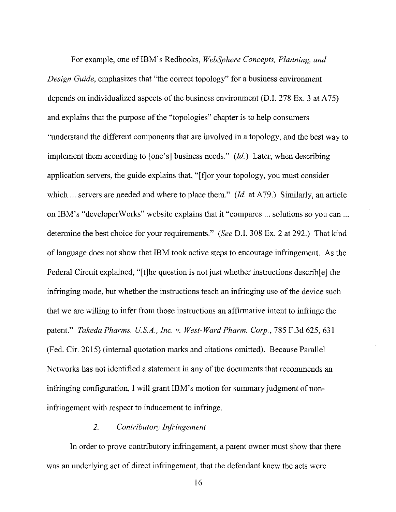For example, one of IBM's Redbooks, *WebSphere Concepts, Planning, and Design Guide,* emphasizes that "the correct topology" for a business environment depends on individualized aspects of the business environment (D.I. 278 Ex. 3 at A75) and explains that the purpose of the "topologies" chapter is to help consumers "understand the different components that are involved in a topology, and the best way to implement them according to [one's] business needs."  $(Id.)$  Later, when describing application servers, the guide explains that, "[ f]or your topology, you must consider which  $\ldots$  servers are needed and where to place them." (*Id.* at A79.) Similarly, an article on IBM's "developer Works" website explains that it "compares ... solutions so you can ... determine the best choice for your requirements." *(See* D.I. 308 Ex. 2 at 292.) That kind of language does not show that IBM took active steps to encourage infringement. As the Federal Circuit explained, "[t]he question is not just whether instructions describ[e] the infringing mode, but whether the instructions teach an infringing use of the device such that we are willing to infer from those instructions an affirmative intent to infringe the patent." *Takeda Pharms. U.S.A., Inc. v. West-Ward Pharm. Corp.*, 785 F.3d 625, 631 (Fed. Cir. 2015) (internal quotation marks and citations omitted). Because Parallel Networks has not identified a statement in any of the documents that recommends an infringing configuration, I will grant IBM's motion for summary judgment of noninfringement with respect to inducement to infringe.

#### *2. Contributory Infringement*

In order to prove contributory infringement, a patent owner must show that there was an underlying act of direct infringement, that the defendant knew the acts were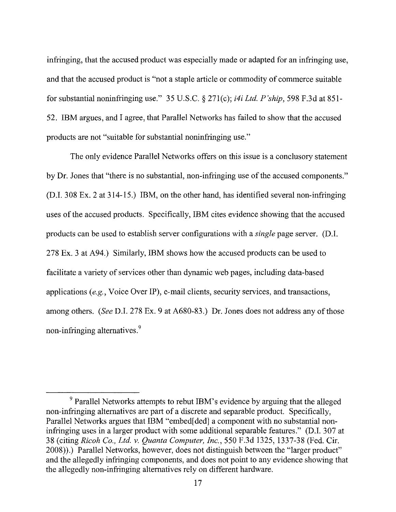infringing, that the accused product was especially made or adapted for an infringing use, and that the accused product is "not a staple article or commodity of commerce suitable for substantial noninfringing use." 35 U.S.C. § 27l(c); *i4i Ltd. P'ship,* 598 F.3d at 851- 52. IBM argues, and I agree, that Parallel Networks has failed to show that the accused products are not "suitable for substantial noninfringing use."

The only evidence Parallel Networks offers on this issue is a conclusory statement by Dr. Jones that "there is no substantial, non-infringing use of the accused components." (D.I. 308 Ex. 2 at 314-15.) IBM, on the other hand, has identified several non-infringing uses of the accused products. Specifically, IBM cites evidence showing that the accused products can be used to establish server configurations with a *single* page server. (D.I. 278 Ex. 3 at A94.) Similarly, IBM shows how the accused products can be used to facilitate a variety of services other than dynamic web pages, including data-based applications *(e.g.,* Voice Over IP), e-mail clients, security services, and transactions, among others. *(See* D.I. 278 Ex. 9 at A680-83.) Dr. Jones does not address any of those non-infringing alternatives. <sup>9</sup>

<sup>&</sup>lt;sup>9</sup> Parallel Networks attempts to rebut IBM's evidence by arguing that the alleged non-infringing alternatives are part of a discrete and separable product. Specifically, Parallel Networks argues that IBM "embed[ ded] a component with no substantial noninfringing uses in a larger product with some additional separable features." (D.I. 307 at 38 (citing *Ricoh Co., Ltd. v. Quanta Computer, Inc.,* 550 F.3d 1325, 1337-38 (Fed. Cir. 2008)).) Parallel Networks, however, does not distinguish between the "larger product" and the allegedly infringing components, and does not point to any evidence showing that the allegedly non-infringing alternatives rely on different hardware.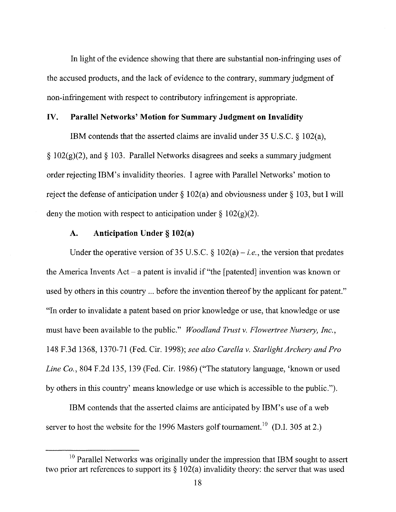In light of the evidence showing that there are substantial non-infringing uses of the accused products, and the lack of evidence to the contrary, summary judgment of non-infringement with respect to contributory infringement is appropriate.

#### **IV. Parallel Networks' Motion for Summary Judgment on Invalidity**

IBM contends that the asserted claims are invalid under 35 U.S.C. § 102(a),  $\S 102(g)(2)$ , and  $\S 103$ . Parallel Networks disagrees and seeks a summary judgment order rejecting IBM's invalidity theories. I agree with Parallel Networks' motion to reject the defense of anticipation under  $\S$  102(a) and obviousness under  $\S$  103, but I will deny the motion with respect to anticipation under  $\S 102(g)(2)$ .

#### **A. Anticipation Under§ 102(a)**

Under the operative version of 35 U.S.C.  $\S 102(a) - i.e.$ , the version that predates the America Invents Act- a patent is invalid if "the [patented] invention was known or used by others in this country ... before the invention thereof by the applicant for patent." "In order to invalidate a patent based on prior knowledge or use, that knowledge or use must have been available to the public." *Woodland Trust v. Flowertree Nursery, Inc.,*  148 F.3d 1368, 1370-71 (Fed. Cir. 1998); *see also Carella v. Starlight Archery and Pro Line Co.,* 804 F.2d 135, 139 (Fed. Cir. 1986) ("The statutory language, 'known or used by others in this country' means knowledge or use which is accessible to the public.").

IBM contends that the asserted claims are anticipated by IBM's use of a web server to host the website for the 1996 Masters golf tournament.<sup>10</sup> (D.I. 305 at 2.)

 $10$  Parallel Networks was originally under the impression that IBM sought to assert two prior art references to support its  $\S 102(a)$  invalidity theory: the server that was used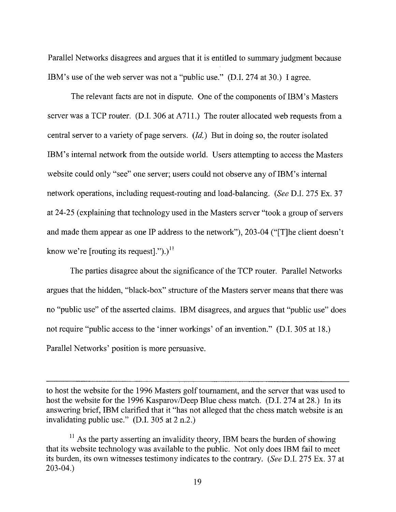Parallel Networks disagrees and argues that it is entitled to summary judgment because IBM's use of the web server was not a "public use." (D.I. 274 at 30.) I agree.

The relevant facts are not in dispute. One of the components of IBM's Masters server was a TCP router. (D.I. 306 at A711.) The router allocated web requests from a central server to a variety of page servers.  $(Id.)$  But in doing so, the router isolated IBM's internal network from the outside world. Users attempting to access the Masters website could only "see" one server; users could not observe any of IBM's internal network operations, including request-routing and load-balancing. *(See* D.I. 275 Ex. 37 at 24-25 (explaining that technology used in the Masters server "took a group of servers and made them appear as one IP address to the network"), 203-04 ("[T]he client doesn't know we're [routing its request].").)<sup>11</sup>

The parties disagree about the significance of the TCP router. Parallel Networks argues that the hidden, "black-box" structure of the Masters server means that there was no "public use" of the asserted claims. IBM disagrees, and argues that "public use" does not require "public access to the 'inner workings' of an invention." (D.I. 305 at 18.) Parallel Networks' position is more persuasive.

to host the website for the 1996 Masters golf tournament, and the server that was used to host the website for the 1996 Kasparov/Deep Blue chess match. (D.I. 274 at 28.) In its answering brief, IBM clarified that it "has not alleged that the chess match website is an invalidating public use." (D.I. 305 at 2 n.2.)

 $11$  As the party asserting an invalidity theory, IBM bears the burden of showing that its website technology was available to the public. Not only does IBM fail to meet its burden, its own witnesses testimony indicates to the contrary. *(See* D.I. 275 Ex. 37 at 203-04.)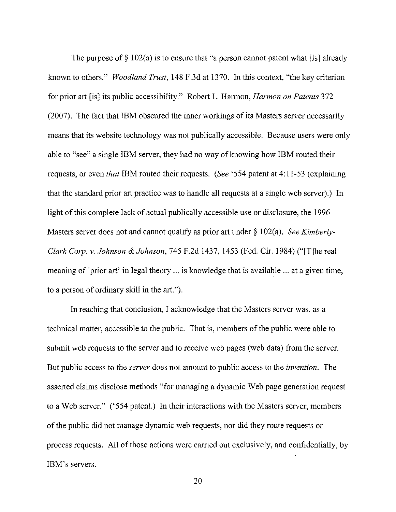The purpose of  $\S 102(a)$  is to ensure that "a person cannot patent what [is] already known to others." *Woodland Trust,* 148 F.3d at 1370. In this context, "the key criterion for prior art [is] its public accessibility." Robert L. Harmon, *Harmon on Patents* 372 (2007). The fact that IBM obscured the inner workings of its Masters server necessarily means that its website technology was not publically accessible. Because users were only able to "see" a single IBM server, they had no way of knowing how IBM routed their requests, or even *that* IBM routed their requests. *(See* '554 patent at 4: 11-53 (explaining that the standard prior art practice was to handle all requests at a single web server).) In light of this complete lack of actual publically accessible use or disclosure, the 1996 Masters server does not and cannot qualify as prior art under § 102(a). *See Kimberly*-*Clark Corp. v. Johnson* & *Johnson,* 745 F.2d 1437, 1453 (Fed. Cir. 1984) ("[T]he real meaning of 'prior art' in legal theory ... is knowledge that is available ... at a given time, to a person of ordinary skill in the art.").

In reaching that conclusion, I acknowledge that the Masters server was, as a technical matter, accessible to the public. That is, members of the public were able to submit web requests to the server and to receive web pages (web data) from the server. But public access to the *server* does not amount to public access to the *invention.* The asserted claims disclose methods "for managing a dynamic Web page generation request to a Web server." ('554 patent.) In their interactions with the Masters server, members of the public did not manage dynamic web requests, nor did they route requests or process requests. All of those actions were carried out exclusively, and confidentially, by IBM's servers.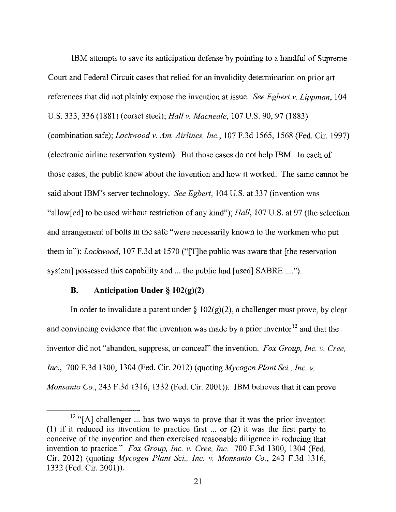IBM attempts to save its anticipation defense by pointing to a handful of Supreme Court and Federal Circuit cases that relied for an invalidity determination on prior art references that did not plainly expose the invention at issue. *See Egbert v. Lippman,* !04 U.S. 333, 336 (1881) (corset steel); *Hall v. Macneale,* 107 U.S. 90, 97 (1883) (combination safe); *Lockwood v. Am. Airlines, Inc.,* 107 F.3d 1565, 1568 (Fed. Cir. 1997) (electronic airline reservation system). But those cases do not help IBM. In each of those cases, the public knew about the invention and how it worked. The same cannot be said about IBM's server technology. *See Egbert,* 104 U.S. at 337 (invention was "allow[ed] to be used without restriction of any kind"); *Hall*, 107 U.S. at 97 (the selection and arrangement of bolts in the safe "were necessarily known to the workmen who put them in"); *Lockwood,* 107 F.3d at 1570 ("[T]he public was aware that [the reservation system] possessed this capability and ... the public had [used] SABRE .... ").

#### **B. Anticipation Under§ 102(g)(2)**

In order to invalidate a patent under  $\S 102(g)(2)$ , a challenger must prove, by clear and convincing evidence that the invention was made by a prior inventor  $12$  and that the inventor did not "abandon, suppress, or conceal" the invention. *Fox Group, Inc. v. Cree, Inc.,* 700 F.3d 1300, 1304 (Fed. Cir. 2012) (quoting *Mycogen Plant* Sci., *Inc. v. Monsanto Co.,* 243 F.3d 1316, 1332 (Fed. Cir. 2001)). IBM believes that it can prove

 $12$  "[A] challenger ... has two ways to prove that it was the prior inventor: (I) if it reduced its invention to practice first ... or (2) it was the first party to conceive of the invention and then exercised reasonable diligence in reducing that invention to practice." *Fox Group, Inc. v. Cree, Inc.* 700 F.3d 1300, 1304 (Fed. Cir. 2012) (quoting *Mycogen Plant* Sci., *Inc. v. Monsanto Co.,* 243 F.3d 1316, 1332 (Fed. Cir. 2001)).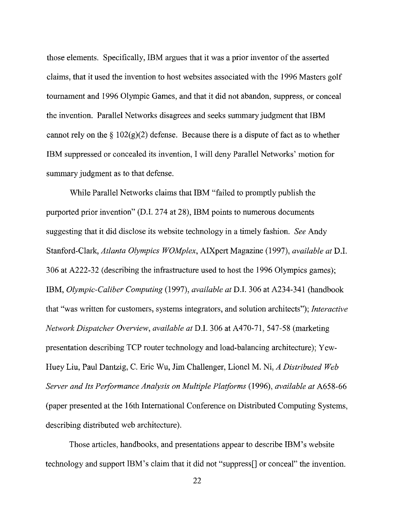those elements. Specifically, IBM argues that it was a prior inventor of the asserted claims, that it used the invention to host websites associated with the 1996 Masters golf tournament and 1996 Olympic Games, and that it did not abandon, suppress, or conceal the invention. Parallel Networks disagrees and seeks summary judgment that IBM cannot rely on the  $\S 102(g)(2)$  defense. Because there is a dispute of fact as to whether IBM suppressed or concealed its invention, I will deny Parallel Networks' motion for summary judgment as to that defense.

While Parallel Networks claims that IBM "failed to promptly publish the purported prior invention" (D.I. 274 at 28), IBM points to numerous documents suggesting that it did disclose its website technology in a timely fashion. *See* Andy Stanford-Clark, *Atlanta Olympics WOMplex,* AIXpert Magazine (1997), *available at* D.I. 306 at A222-32 (describing the infrastructure used to host the 1996 Olympics games); IBM, *Olympic-Caliber Computing* (1997), *available at* D.I. 306 at A234-341 (handbook that "was written for customers, systems integrators, and solution architects"); *Interactive Network Dispatcher Overview, available at* D.I. 306 at A470-71, 547-58 (marketing presentation describing TCP router technology and load-balancing architecture); Yew-Huey Liu, Paul Dantzig, C. Eric Wu, Jim Challenger, Lionel M. Ni, *A Distributed Web Server and Its Performance Analysis on Multiple Platforms* (1996), *available at* A658-66 (paper presented at the 16th International Conference on Distributed Computing Systems, describing distributed web architecture).

Those articles, handbooks, and presentations appear to describe IBM's website technology and support IBM's claim that it did not "suppress[] or conceal" the invention.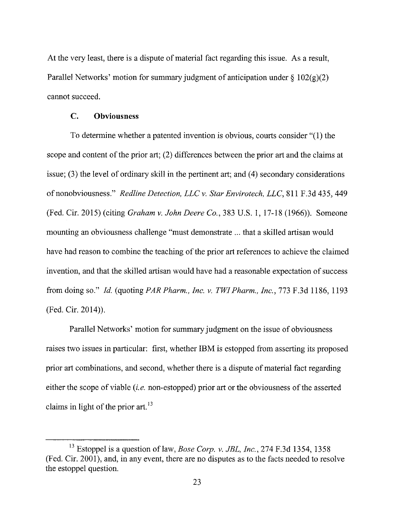At the very least, there is a dispute of material fact regarding this issue. As a result, Parallel Networks' motion for summary judgment of anticipation under  $\S 102(g)(2)$ cannot succeed.

#### C. **Obviousness**

To determine whether a patented invention is obvious, courts consider "(1) the scope and content of the prior art; (2) differences between the prior art and the claims at issue; (3) the level of ordinary skill in the pertinent art; and (4) secondary considerations ofnonobviousness." *Redline Detection, LLC v. Star Envirotech, LLC,* 811 F.3d 435, 449 (Fed. Cir. 2015) (citing *Graham v. John Deere Co.,* 383 U.S. 1, 17-18 (1966)). Someone mounting an obviousness challenge "must demonstrate ... that a skilled artisan would have had reason to combine the teaching of the prior art references to achieve the claimed invention, and that the skilled artisan would have had a reasonable expectation of success from doing so." *Id.* (quoting *PAR Pharm., Inc. v. TWI Pharm., Inc.,* 773 F.3d 1186, 1193 (Fed. Cir. 2014)).

Parallel Networks' motion for summary judgment on the issue of obviousness raises two issues in particular: first, whether IBM is estopped from asserting its proposed prior art combinations, and second, whether there is a dispute of material fact regarding either the scope of viable *(i.e.* non-estopped) prior art or the obviousness of the asserted claims in light of the prior art.<sup>13</sup>

<sup>13</sup> Estoppel is a question of law, *Bose Corp. v. JBL, Inc.,* 274 F.3d 1354, 1358 (Fed. Cir. 2001), and, in any event, there are no disputes as to the facts needed to resolve the estoppel question.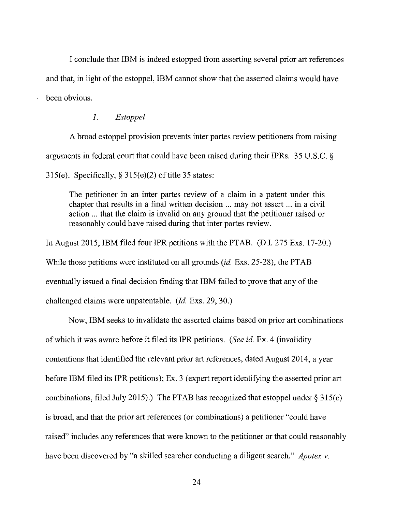I conclude that IBM is indeed estopped from asserting several prior art references and that, in light of the estoppel, IBM cannot show that the asserted claims would have been obvious.

#### *1. Estoppel*

A broad estoppel provision prevents inter partes review petitioners from raising arguments in federal court that could have been raised during their IPRs. 35 U.S.C. § 315(e). Specifically,  $\S 315(e)(2)$  of title 35 states:

The petitioner in an inter partes review of a claim in a patent under this chapter that results in a final written decision ... may not assert ... in a civil action ... that the claim is invalid on any ground that the petitioner raised or reasonably could have raised during that inter partes review.

In August 2015, IBM filed four IPR petitions with the PTAB. (D.I. 275 Exs. 17-20.) While those petitions were instituted on all grounds *(id.* Exs. 25-28), the PTAB eventually issued a final decision finding that IBM failed to prove that any of the challenged claims were unpatentable. *(Id.* Exs. 29, 30.)

Now, IBM seeks to invalidate the asserted claims based on prior art combinations of which it was aware before it filed its IPR petitions. *(See* id. Ex. 4 (invalidity contentions that identified the relevant prior art references, dated August 2014, a year before IBM filed its IPR petitions); Ex. 3 (expert report identifying the asserted prior art combinations, filed July 2015).) The PTAB has recognized that estoppel under  $\S 315(e)$ is broad, and that the prior art references (or combinations) a petitioner "could have raised" includes any references that were known to the petitioner or that could reasonably have been discovered by "a skilled searcher conducting a diligent search." *Apotex v.*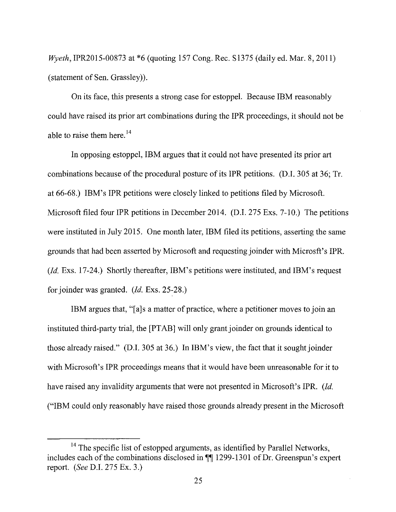*Wyeth,* IPR2015-00873 at \*6 (quoting 157 Cong. Rec. Sl375 (daily ed. Mar. 8, 2011) (statement of Sen. Grassley)).

On its face, this presents a strong case for estoppel. Because IBM reasonably could have raised its prior art combinations during the IPR proceedings, it should not be able to raise them here.<sup>14</sup>

In opposing estoppel, IBM argues that it could not have presented its prior art combinations because of the procedural posture of its IPR petitions. (D.I. 305 at 36; Tr. at 66-68.) IBM's IPR petitions were closely linked to petitions filed by Microsoft. Microsoft filed four IPR petitions in December 2014. (D.I. 275 Exs. 7-10.) The petitions were instituted in July 2015. One month later, IBM filed its petitions, asserting the same grounds that had been asserted by Microsoft and requesting joinder with Microsft's IPR. *(Id.* Exs. 17-24.) Shortly thereafter, IBM's petitions were instituted, and IBM's request for joinder was granted. *(Id. Exs. 25-28.)* 

IBM argues that, "[a]s a matter of practice, where a petitioner moves to join an instituted third-party trial, the [PTAB] will only grant joinder on grounds identical to those already raised." (D.I. 305 at 36.) In IBM's view, the fact that it sought joinder with Microsoft's IPR proceedings means that it would have been unreasonable for it to have raised any invalidity arguments that were not presented in Microsoft's IPR. *(Id.*  ("IBM could only reasonably have raised those grounds already present in the Microsoft

<sup>&</sup>lt;sup>14</sup> The specific list of estopped arguments, as identified by Parallel Networks, includes each of the combinations disclosed in  $\mathbb{I}$  1299-1301 of Dr. Greenspun's expert report. *(See* D.I. 275 Ex. 3.)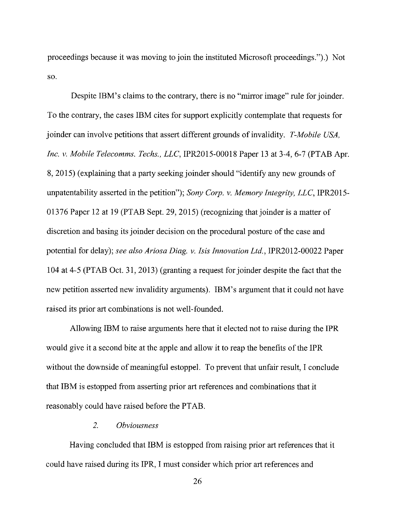proceedings because it was moving to join the instituted Microsoft proceedings.").) Not so.

Despite IBM's claims to the contrary, there is no "mirror image" rule for joinder. To the contrary, the cases IBM cites for support explicitly contemplate that requests for joinder can involve petitions that assert different grounds of invalidity. *T-Mobile USA, Inc. v. Mobile Telecomms. Techs., LLC, IPR2015-00018 Paper 13 at 3-4, 6-7 (PTAB Apr.* 8, 2015) (explaining that a party seeking joinder should "identify any new grounds of unpatentability asserted in the petition"); *Sony Corp. v. Memory Integrity, LLC,* IPR2015- 01376 Paper 12 at 19 (PTAB Sept. 29, 2015) (recognizing that joinder is a matter of discretion and basing its joinder decision on the procedural posture of the case and potential for delay); *see also Ariosa Diag. v. Isis Innovation Ltd.,* IPR2012-00022 Paper I 04 at 4-5 (PTAB Oct. 31, 2013) (granting a request for joinder despite the fact that the new petition asserted new invalidity arguments). IBM's argument that it could not have raised its prior art combinations is not well-founded.

Allowing IBM to raise arguments here that it elected not to raise during the IPR would give it a second bite at the apple and allow it to reap the benefits of the IPR without the downside of meaningful estoppel. To prevent that unfair result, I conclude that IBM is estopped from asserting prior art references and combinations that it reasonably could have raised before the PT AB.

#### *2. Obviousness*

Having concluded that IBM is estopped from raising prior art references that it could have raised during its IPR, I must consider which prior art references and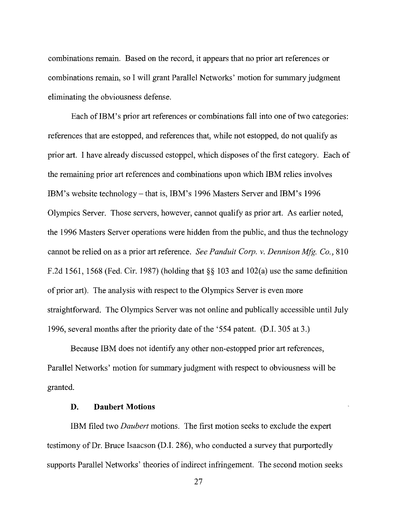combinations remain. Based on the record, it appears that no prior art references or combinations remain, so I will grant Parallel Networks' motion for summary judgment eliminating the obviousness defense.

Each of IBM's prior art references or combinations fall into one of two categories: references that are estopped, and references that, while not estopped, do not qualify as prior art. I have already discussed estoppel, which disposes of the first category. Each of the remaining prior art references and combinations upon which IBM relies involves IBM's website technology- that is, IBM's 1996 Masters Server and IBM's 1996 Olympics Server. Those servers, however, cannot qualify as prior art. As earlier noted, the 1996 Masters Server operations were hidden from the public, and thus the technology cannot be relied on as a prior art reference. *See Panduit Corp. v. Dennison Mfg. Co.,* 810 F.2d 1561, 1568 (Fed. Cir. 1987) (holding that  $\S$ § 103 and 102(a) use the same definition of prior art). The analysis with respect to the Olympics Server is even more straightforward. The Olympics Server was not online and publically accessible until July 1996, several months after the priority date of the '554 patent. (D.I. 305 at 3 .)

Because IBM does not identify any other non-estopped prior art references, Parallel Networks' motion for summary judgment with respect to obviousness will be granted.

## **D. Daubert Motions**

IBM filed two *Daubert* motions. The first motion seeks to exclude the expert testimony of Dr. Bruce Isaacson (D.I. 286), who conducted a survey that purportedly supports Parallel Networks' theories of indirect infringement. The second motion seeks